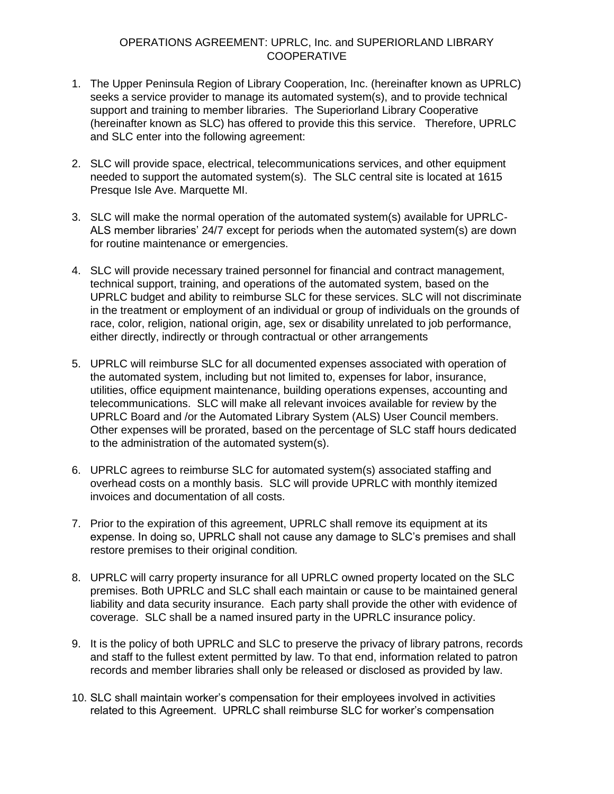## OPERATIONS AGREEMENT: UPRLC, Inc. and SUPERIORLAND LIBRARY **COOPERATIVE**

- 1. The Upper Peninsula Region of Library Cooperation, Inc. (hereinafter known as UPRLC) seeks a service provider to manage its automated system(s), and to provide technical support and training to member libraries. The Superiorland Library Cooperative (hereinafter known as SLC) has offered to provide this this service. Therefore, UPRLC and SLC enter into the following agreement:
- 2. SLC will provide space, electrical, telecommunications services, and other equipment needed to support the automated system(s). The SLC central site is located at 1615 Presque Isle Ave. Marquette MI.
- 3. SLC will make the normal operation of the automated system(s) available for UPRLC-ALS member libraries' 24/7 except for periods when the automated system(s) are down for routine maintenance or emergencies.
- 4. SLC will provide necessary trained personnel for financial and contract management, technical support, training, and operations of the automated system, based on the UPRLC budget and ability to reimburse SLC for these services. SLC will not discriminate in the treatment or employment of an individual or group of individuals on the grounds of race, color, religion, national origin, age, sex or disability unrelated to job performance, either directly, indirectly or through contractual or other arrangements
- 5. UPRLC will reimburse SLC for all documented expenses associated with operation of the automated system, including but not limited to, expenses for labor, insurance, utilities, office equipment maintenance, building operations expenses, accounting and telecommunications. SLC will make all relevant invoices available for review by the UPRLC Board and /or the Automated Library System (ALS) User Council members. Other expenses will be prorated, based on the percentage of SLC staff hours dedicated to the administration of the automated system(s).
- 6. UPRLC agrees to reimburse SLC for automated system(s) associated staffing and overhead costs on a monthly basis. SLC will provide UPRLC with monthly itemized invoices and documentation of all costs.
- 7. Prior to the expiration of this agreement, UPRLC shall remove its equipment at its expense. In doing so, UPRLC shall not cause any damage to SLC's premises and shall restore premises to their original condition*.*
- 8. UPRLC will carry property insurance for all UPRLC owned property located on the SLC premises. Both UPRLC and SLC shall each maintain or cause to be maintained general liability and data security insurance. Each party shall provide the other with evidence of coverage. SLC shall be a named insured party in the UPRLC insurance policy.
- 9. It is the policy of both UPRLC and SLC to preserve the privacy of library patrons, records and staff to the fullest extent permitted by law. To that end, information related to patron records and member libraries shall only be released or disclosed as provided by law.
- 10. SLC shall maintain worker's compensation for their employees involved in activities related to this Agreement. UPRLC shall reimburse SLC for worker's compensation